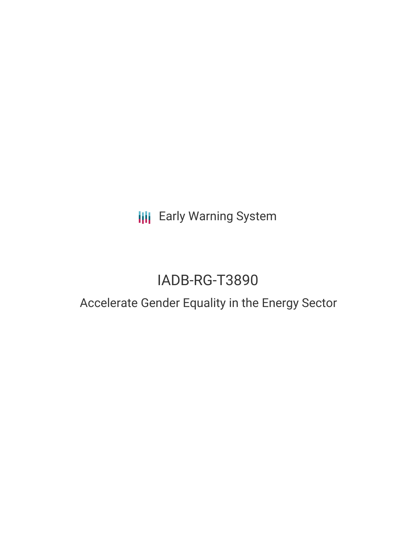**III** Early Warning System

# IADB-RG-T3890

## Accelerate Gender Equality in the Energy Sector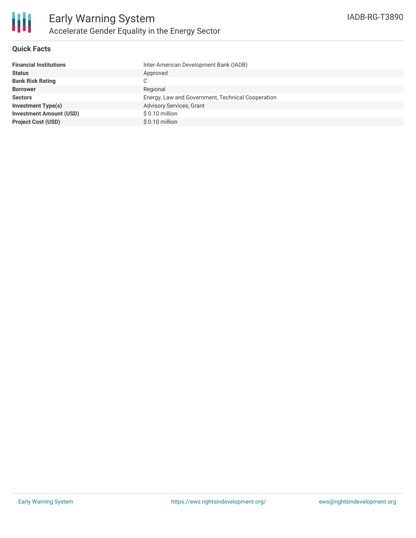

### **Quick Facts**

| <b>Financial Institutions</b>  | Inter-American Development Bank (IADB)            |
|--------------------------------|---------------------------------------------------|
| <b>Status</b>                  | Approved                                          |
| <b>Bank Risk Rating</b>        | С                                                 |
| <b>Borrower</b>                | Regional                                          |
| <b>Sectors</b>                 | Energy, Law and Government, Technical Cooperation |
| <b>Investment Type(s)</b>      | Advisory Services, Grant                          |
| <b>Investment Amount (USD)</b> | $$0.10$ million                                   |
| <b>Project Cost (USD)</b>      | $$0.10$ million                                   |
|                                |                                                   |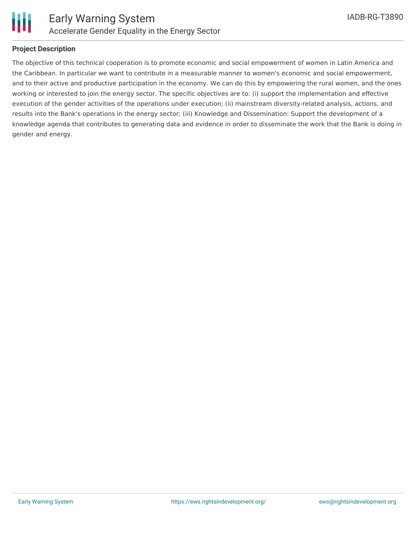

### **Project Description**

The objective of this technical cooperation is to promote economic and social empowerment of women in Latin America and the Caribbean. In particular we want to contribute in a measurable manner to women's economic and social empowerment, and to their active and productive participation in the economy. We can do this by empowering the rural women, and the ones working or interested to join the energy sector. The specific objectives are to: (i) support the implementation and effective execution of the gender activities of the operations under execution; (ii) mainstream diversity-related analysis, actions, and results into the Bank's operations in the energy sector; (iii) Knowledge and Dissemination: Support the development of a knowledge agenda that contributes to generating data and evidence in order to disseminate the work that the Bank is doing in gender and energy.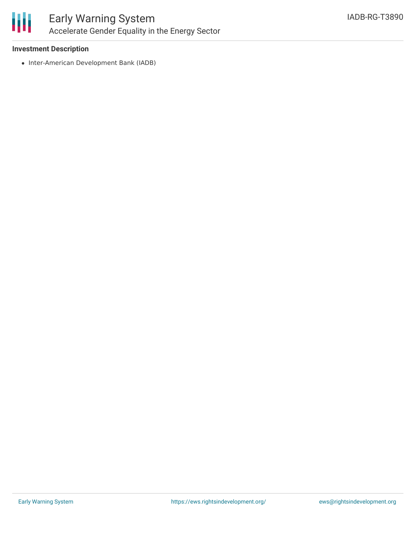

### **Investment Description**

• Inter-American Development Bank (IADB)